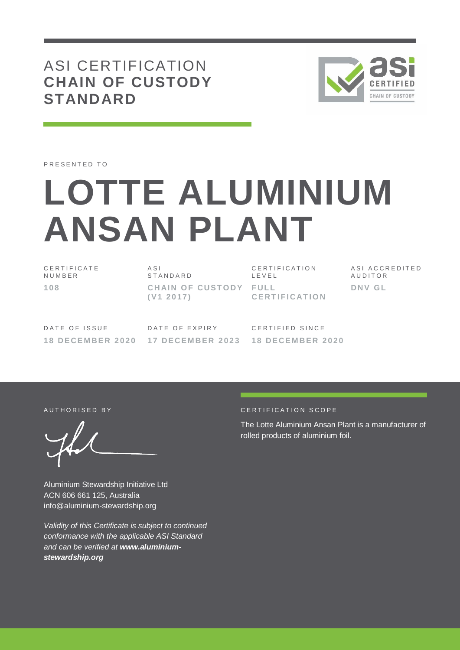# ASI CERTIFICATION **CHAIN OF CUSTODY STANDARD**



PRESENTED TO

# **LOTTE ALUMINIUM ANSAN PLANT**

C E R T I F I C A T E N U M B E R **108**

A S I **STANDARD CHAIN OF CUSTODY ( V1 20 17)**

C E R T I F I C A T I O N L E V E L **F UL L CE RT I F I CAT I O N** A S I A C C R E D I T E D **AUDITOR DNV G L**

DATE OF ISSUE **18 DE CE M BE R 2 02 0**

DATE OF EXPIRY **17 DE CE M BE R 2 02 3**

C F R T I F I F D S I N C F **18 DE CE M BE R 2 02 0**

Aluminium Stewardship Initiative Ltd ACN 606 661 125, Australia info@aluminium-stewardship.org

*Validity of this Certificate is subject to continued conformance with the applicable ASI Standard and can be verified at www.aluminiumstewardship.org*

#### A UT HORISED BY CERTIFICATION SCOPE

The Lotte Aluminium Ansan Plant is a manufacturer of rolled products of aluminium foil.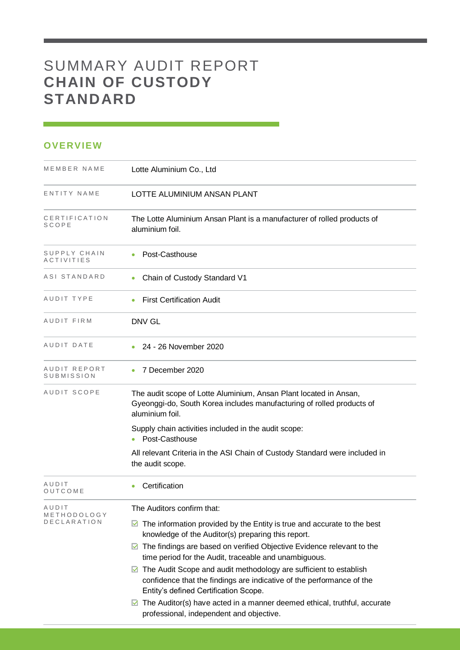# SUMMARY AUDIT REPORT **CHAIN OF CUSTODY STANDARD**

## **OVERVIEW**

| MEMBER NAME                                | Lotte Aluminium Co., Ltd                                                                                                                                                                                                                                                                                                                                                                                                                                                                                                                                                                                                                                 |
|--------------------------------------------|----------------------------------------------------------------------------------------------------------------------------------------------------------------------------------------------------------------------------------------------------------------------------------------------------------------------------------------------------------------------------------------------------------------------------------------------------------------------------------------------------------------------------------------------------------------------------------------------------------------------------------------------------------|
| ENTITY NAME                                | LOTTE ALUMINIUM ANSAN PLANT                                                                                                                                                                                                                                                                                                                                                                                                                                                                                                                                                                                                                              |
| CERTIFICATION<br>SCOPE                     | The Lotte Aluminium Ansan Plant is a manufacturer of rolled products of<br>aluminium foil.                                                                                                                                                                                                                                                                                                                                                                                                                                                                                                                                                               |
| SUPPLY CHAIN<br>ACTIVITIES                 | Post-Casthouse                                                                                                                                                                                                                                                                                                                                                                                                                                                                                                                                                                                                                                           |
| ASI STANDARD                               | Chain of Custody Standard V1                                                                                                                                                                                                                                                                                                                                                                                                                                                                                                                                                                                                                             |
| AUDIT TYPE                                 | <b>First Certification Audit</b>                                                                                                                                                                                                                                                                                                                                                                                                                                                                                                                                                                                                                         |
| AUDIT FIRM                                 | DNV GL                                                                                                                                                                                                                                                                                                                                                                                                                                                                                                                                                                                                                                                   |
| AUDIT DATE                                 | 24 - 26 November 2020<br>$\bullet$                                                                                                                                                                                                                                                                                                                                                                                                                                                                                                                                                                                                                       |
| AUDIT REPORT<br>SUBMISSION                 | 7 December 2020                                                                                                                                                                                                                                                                                                                                                                                                                                                                                                                                                                                                                                          |
| AUDIT SCOPE                                | The audit scope of Lotte Aluminium, Ansan Plant located in Ansan,<br>Gyeonggi-do, South Korea includes manufacturing of rolled products of<br>aluminium foil.                                                                                                                                                                                                                                                                                                                                                                                                                                                                                            |
|                                            | Supply chain activities included in the audit scope:<br>Post-Casthouse                                                                                                                                                                                                                                                                                                                                                                                                                                                                                                                                                                                   |
|                                            | All relevant Criteria in the ASI Chain of Custody Standard were included in<br>the audit scope.                                                                                                                                                                                                                                                                                                                                                                                                                                                                                                                                                          |
| AUDIT<br>OUTCOME                           | Certification                                                                                                                                                                                                                                                                                                                                                                                                                                                                                                                                                                                                                                            |
| AUDIT<br>METHODOLOGY<br><b>DECLARATION</b> | The Auditors confirm that:<br>The information provided by the Entity is true and accurate to the best<br>M<br>knowledge of the Auditor(s) preparing this report.<br>$\triangleright$ The findings are based on verified Objective Evidence relevant to the<br>time period for the Audit, traceable and unambiguous.<br>The Audit Scope and audit methodology are sufficient to establish<br>M<br>confidence that the findings are indicative of the performance of the<br>Entity's defined Certification Scope.<br>$\triangleright$ The Auditor(s) have acted in a manner deemed ethical, truthful, accurate<br>professional, independent and objective. |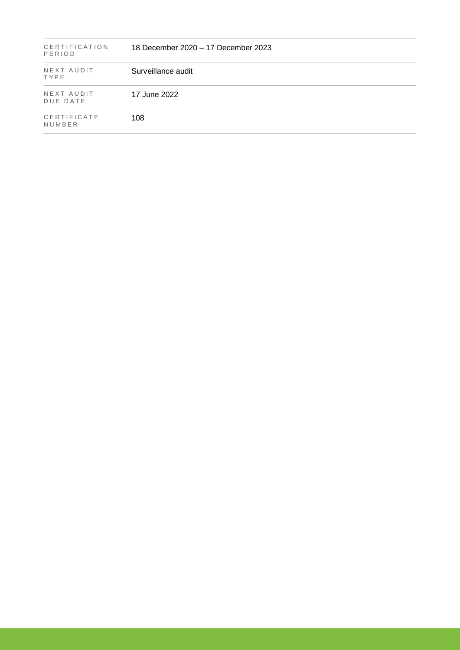| <b>CERTIFICATION</b><br>PERIOD | 18 December 2020 – 17 December 2023 |
|--------------------------------|-------------------------------------|
| NEXT AUDIT<br>TYPE             | Surveillance audit                  |
| NEXT AUDIT<br>DUE DATE         | 17 June 2022                        |
| CERTIFICATE<br>NUMBER          | 108                                 |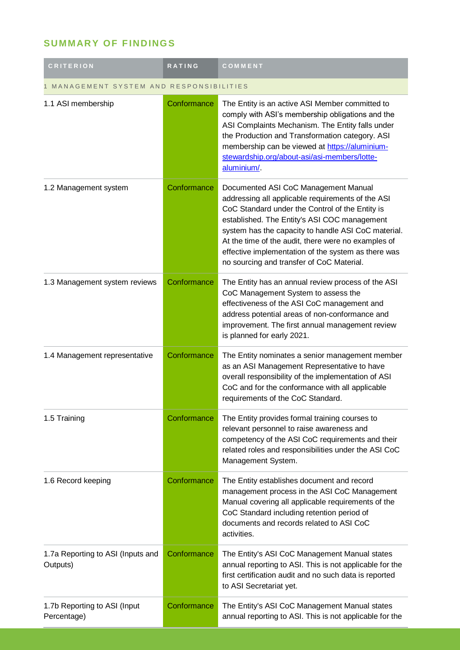# **SUMMARY OF FINDINGS**

| <b>CRITERION</b>                              | <b>RATING</b> | COMMENT                                                                                                                                                                                                                                                                                                                                                                                                        |  |
|-----------------------------------------------|---------------|----------------------------------------------------------------------------------------------------------------------------------------------------------------------------------------------------------------------------------------------------------------------------------------------------------------------------------------------------------------------------------------------------------------|--|
| MANAGEMENT SYSTEM AND RESPONSIBILITIES        |               |                                                                                                                                                                                                                                                                                                                                                                                                                |  |
| 1.1 ASI membership                            | Conformance   | The Entity is an active ASI Member committed to<br>comply with ASI's membership obligations and the<br>ASI Complaints Mechanism. The Entity falls under<br>the Production and Transformation category. ASI<br>membership can be viewed at https://aluminium-<br>stewardship.org/about-asi/asi-members/lotte-<br>aluminium/                                                                                     |  |
| 1.2 Management system                         | Conformance   | Documented ASI CoC Management Manual<br>addressing all applicable requirements of the ASI<br>CoC Standard under the Control of the Entity is<br>established. The Entity's ASI COC management<br>system has the capacity to handle ASI CoC material.<br>At the time of the audit, there were no examples of<br>effective implementation of the system as there was<br>no sourcing and transfer of CoC Material. |  |
| 1.3 Management system reviews                 | Conformance   | The Entity has an annual review process of the ASI<br>CoC Management System to assess the<br>effectiveness of the ASI CoC management and<br>address potential areas of non-conformance and<br>improvement. The first annual management review<br>is planned for early 2021.                                                                                                                                    |  |
| 1.4 Management representative                 | Conformance   | The Entity nominates a senior management member<br>as an ASI Management Representative to have<br>overall responsibility of the implementation of ASI<br>CoC and for the conformance with all applicable<br>requirements of the CoC Standard.                                                                                                                                                                  |  |
| 1.5 Training                                  | Conformance   | The Entity provides formal training courses to<br>relevant personnel to raise awareness and<br>competency of the ASI CoC requirements and their<br>related roles and responsibilities under the ASI CoC<br>Management System.                                                                                                                                                                                  |  |
| 1.6 Record keeping                            | Conformance   | The Entity establishes document and record<br>management process in the ASI CoC Management<br>Manual covering all applicable requirements of the<br>CoC Standard including retention period of<br>documents and records related to ASI CoC<br>activities.                                                                                                                                                      |  |
| 1.7a Reporting to ASI (Inputs and<br>Outputs) | Conformance   | The Entity's ASI CoC Management Manual states<br>annual reporting to ASI. This is not applicable for the<br>first certification audit and no such data is reported<br>to ASI Secretariat yet.                                                                                                                                                                                                                  |  |
| 1.7b Reporting to ASI (Input<br>Percentage)   | Conformance   | The Entity's ASI CoC Management Manual states<br>annual reporting to ASI. This is not applicable for the                                                                                                                                                                                                                                                                                                       |  |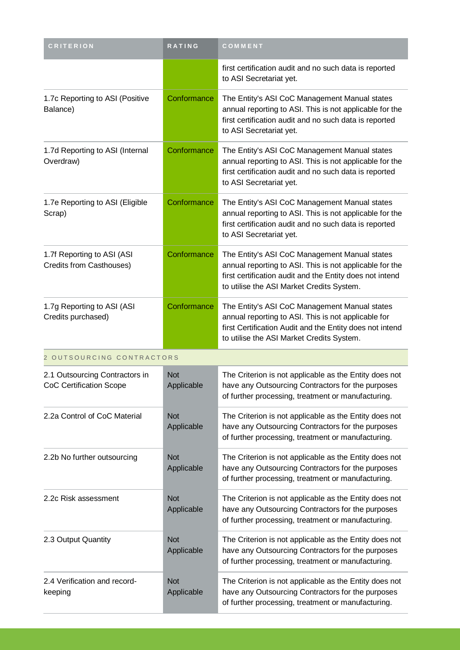| <b>CRITERION</b>                                          | <b>RATING</b>            | COMMENT                                                                                                                                                                                                           |
|-----------------------------------------------------------|--------------------------|-------------------------------------------------------------------------------------------------------------------------------------------------------------------------------------------------------------------|
|                                                           |                          | first certification audit and no such data is reported<br>to ASI Secretariat yet.                                                                                                                                 |
| 1.7c Reporting to ASI (Positive<br>Balance)               | Conformance              | The Entity's ASI CoC Management Manual states<br>annual reporting to ASI. This is not applicable for the<br>first certification audit and no such data is reported<br>to ASI Secretariat yet.                     |
| 1.7d Reporting to ASI (Internal<br>Overdraw)              | Conformance              | The Entity's ASI CoC Management Manual states<br>annual reporting to ASI. This is not applicable for the<br>first certification audit and no such data is reported<br>to ASI Secretariat yet.                     |
| 1.7e Reporting to ASI (Eligible<br>Scrap)                 | Conformance              | The Entity's ASI CoC Management Manual states<br>annual reporting to ASI. This is not applicable for the<br>first certification audit and no such data is reported<br>to ASI Secretariat yet.                     |
| 1.7f Reporting to ASI (ASI<br>Credits from Casthouses)    | Conformance              | The Entity's ASI CoC Management Manual states<br>annual reporting to ASI. This is not applicable for the<br>first certification audit and the Entity does not intend<br>to utilise the ASI Market Credits System. |
| 1.7g Reporting to ASI (ASI<br>Credits purchased)          | Conformance              | The Entity's ASI CoC Management Manual states<br>annual reporting to ASI. This is not applicable for<br>first Certification Audit and the Entity does not intend<br>to utilise the ASI Market Credits System.     |
| 2 OUTSOURCING CONTRACTORS                                 |                          |                                                                                                                                                                                                                   |
| 2.1 Outsourcing Contractors in<br>CoC Certification Scope | <b>Not</b><br>Applicable | The Criterion is not applicable as the Entity does not<br>have any Outsourcing Contractors for the purposes<br>of further processing, treatment or manufacturing.                                                 |
| 2.2a Control of CoC Material                              | <b>Not</b><br>Applicable | The Criterion is not applicable as the Entity does not<br>have any Outsourcing Contractors for the purposes<br>of further processing, treatment or manufacturing.                                                 |
| 2.2b No further outsourcing                               | <b>Not</b><br>Applicable | The Criterion is not applicable as the Entity does not<br>have any Outsourcing Contractors for the purposes<br>of further processing, treatment or manufacturing.                                                 |
| 2.2c Risk assessment                                      | <b>Not</b><br>Applicable | The Criterion is not applicable as the Entity does not<br>have any Outsourcing Contractors for the purposes<br>of further processing, treatment or manufacturing.                                                 |
| 2.3 Output Quantity                                       | <b>Not</b><br>Applicable | The Criterion is not applicable as the Entity does not<br>have any Outsourcing Contractors for the purposes<br>of further processing, treatment or manufacturing.                                                 |
| 2.4 Verification and record-<br>keeping                   | <b>Not</b><br>Applicable | The Criterion is not applicable as the Entity does not<br>have any Outsourcing Contractors for the purposes<br>of further processing, treatment or manufacturing.                                                 |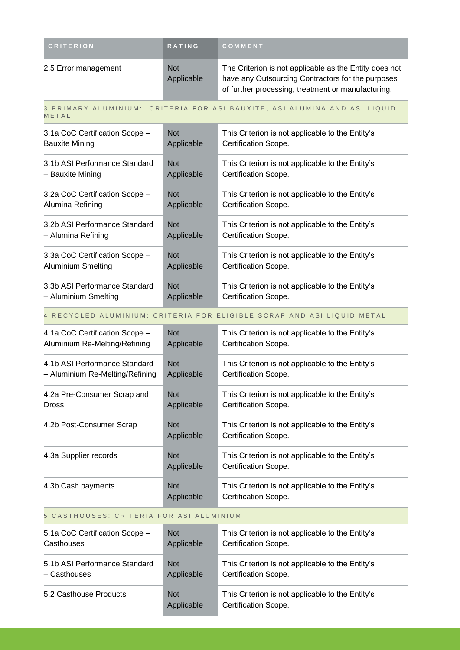| <b>CRITERION</b>     | <b>RATING</b>            | COMMENT                                                                                                                                                           |
|----------------------|--------------------------|-------------------------------------------------------------------------------------------------------------------------------------------------------------------|
| 2.5 Error management | <b>Not</b><br>Applicable | The Criterion is not applicable as the Entity does not<br>have any Outsourcing Contractors for the purposes<br>of further processing, treatment or manufacturing. |

3 PRIMARY ALUMINIUM: CRITERIA FOR ASI BAUXITE, ASI ALUMINA AND ASI LIQUID M E T A L

| 3.1a CoC Certification Scope - | <b>Not</b> | This Criterion is not applicable to the Entity's |
|--------------------------------|------------|--------------------------------------------------|
| <b>Bauxite Mining</b>          | Applicable | Certification Scope.                             |
| 3.1b ASI Performance Standard  | <b>Not</b> | This Criterion is not applicable to the Entity's |
| – Bauxite Mining               | Applicable | Certification Scope.                             |
| 3.2a CoC Certification Scope - | <b>Not</b> | This Criterion is not applicable to the Entity's |
| Alumina Refining               | Applicable | Certification Scope.                             |
| 3.2b ASI Performance Standard  | <b>Not</b> | This Criterion is not applicable to the Entity's |
| - Alumina Refining             | Applicable | Certification Scope.                             |
| 3.3a CoC Certification Scope - | <b>Not</b> | This Criterion is not applicable to the Entity's |
| <b>Aluminium Smelting</b>      | Applicable | Certification Scope.                             |
| 3.3b ASI Performance Standard  | <b>Not</b> | This Criterion is not applicable to the Entity's |
| - Aluminium Smelting           | Applicable | Certification Scope.                             |

#### 4 RECYCLED ALUMINIUM: CRITERIA FOR ELIGIBLE SCRAP AND ASI LIQUID METAL

| 4.1a CoC Certification Scope -  | <b>Not</b>               | This Criterion is not applicable to the Entity's                         |
|---------------------------------|--------------------------|--------------------------------------------------------------------------|
| Aluminium Re-Melting/Refining   | Applicable               | Certification Scope.                                                     |
| 4.1b ASI Performance Standard   | <b>Not</b>               | This Criterion is not applicable to the Entity's                         |
| - Aluminium Re-Melting/Refining | Applicable               | Certification Scope.                                                     |
| 4.2a Pre-Consumer Scrap and     | <b>Not</b>               | This Criterion is not applicable to the Entity's                         |
| <b>Dross</b>                    | Applicable               | Certification Scope.                                                     |
| 4.2b Post-Consumer Scrap        | <b>Not</b><br>Applicable | This Criterion is not applicable to the Entity's<br>Certification Scope. |
| 4.3a Supplier records           | <b>Not</b><br>Applicable | This Criterion is not applicable to the Entity's<br>Certification Scope. |
| 4.3b Cash payments              | <b>Not</b><br>Applicable | This Criterion is not applicable to the Entity's<br>Certification Scope. |

### 5 CASTHOUSES: CRITERIA FOR ASI ALUMINIUM

| 5.1a CoC Certification Scope - | <b>Not</b>               | This Criterion is not applicable to the Entity's                                |
|--------------------------------|--------------------------|---------------------------------------------------------------------------------|
| Casthouses                     | Applicable               | <b>Certification Scope.</b>                                                     |
| 5.1b ASI Performance Standard  | <b>Not</b>               | This Criterion is not applicable to the Entity's                                |
| - Casthouses                   | Applicable               | <b>Certification Scope.</b>                                                     |
| 5.2 Casthouse Products         | <b>Not</b><br>Applicable | This Criterion is not applicable to the Entity's<br><b>Certification Scope.</b> |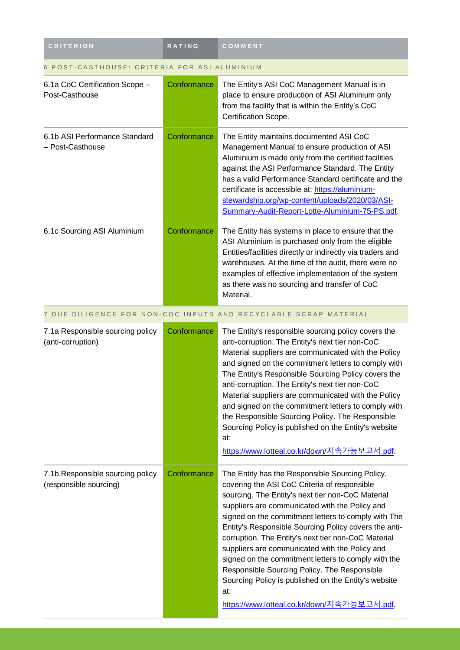| <b>CRITERION</b>                                           | <b>RATING</b> | COMMENT                                                                                                                                                                                                                                                                                                                                                                                                                                                                                                                                                                                                                                             |  |
|------------------------------------------------------------|---------------|-----------------------------------------------------------------------------------------------------------------------------------------------------------------------------------------------------------------------------------------------------------------------------------------------------------------------------------------------------------------------------------------------------------------------------------------------------------------------------------------------------------------------------------------------------------------------------------------------------------------------------------------------------|--|
| 6 POST-CASTHOUSE: CRITERIA FOR ASI ALUMINIUM               |               |                                                                                                                                                                                                                                                                                                                                                                                                                                                                                                                                                                                                                                                     |  |
| 6.1a CoC Certification Scope -<br>Post-Casthouse           | Conformance   | The Entity's ASI CoC Management Manual is in<br>place to ensure production of ASI Aluminium only<br>from the facility that is within the Entity's CoC<br>Certification Scope.                                                                                                                                                                                                                                                                                                                                                                                                                                                                       |  |
| 6.1b ASI Performance Standard<br>- Post-Casthouse          | Conformance   | The Entity maintains documented ASI CoC<br>Management Manual to ensure production of ASI<br>Aluminium is made only from the certified facilities<br>against the ASI Performance Standard. The Entity<br>has a valid Performance Standard certificate and the<br>certificate is accessible at: https://aluminium-<br>stewardship.org/wp-content/uploads/2020/03/ASI-<br>Summary-Audit-Report-Lotte-Aluminium-75-PS.pdf.                                                                                                                                                                                                                              |  |
| 6.1c Sourcing ASI Aluminium                                | Conformance   | The Entity has systems in place to ensure that the<br>ASI Aluminium is purchased only from the eligible<br>Entities/facilities directly or indirectly via traders and<br>warehouses. At the time of the audit, there were no<br>examples of effective implementation of the system<br>as there was no sourcing and transfer of CoC<br>Material.                                                                                                                                                                                                                                                                                                     |  |
|                                                            |               | 7 DUE DILIGENCE FOR NON-COC INPUTS AND RECYCLABLE SCRAP MATERIAL                                                                                                                                                                                                                                                                                                                                                                                                                                                                                                                                                                                    |  |
| 7.1a Responsible sourcing policy<br>(anti-corruption)      | Conformance   | The Entity's responsible sourcing policy covers the<br>anti-corruption. The Entity's next tier non-CoC<br>Material suppliers are communicated with the Policy<br>and signed on the commitment letters to comply with<br>The Entity's Responsible Sourcing Policy covers the<br>anti-corruption. The Entity's next tier non-CoC<br>Material suppliers are communicated with the Policy<br>and signed on the commitment letters to comply with<br>the Responsible Sourcing Policy. The Responsible<br>Sourcing Policy is published on the Entity's website<br>at:<br>https://www.lotteal.co.kr/down/지속가능보고서.pdf.                                      |  |
| 7.1b Responsible sourcing policy<br>(responsible sourcing) | Conformance   | The Entity has the Responsible Sourcing Policy,<br>covering the ASI CoC Criteria of responsible<br>sourcing. The Entity's next tier non-CoC Material<br>suppliers are communicated with the Policy and<br>signed on the commitment letters to comply with The<br>Entity's Responsible Sourcing Policy covers the anti-<br>corruption. The Entity's next tier non-CoC Material<br>suppliers are communicated with the Policy and<br>signed on the commitment letters to comply with the<br>Responsible Sourcing Policy. The Responsible<br>Sourcing Policy is published on the Entity's website<br>at:<br>https://www.lotteal.co.kr/down/지속가능보고서.pdf |  |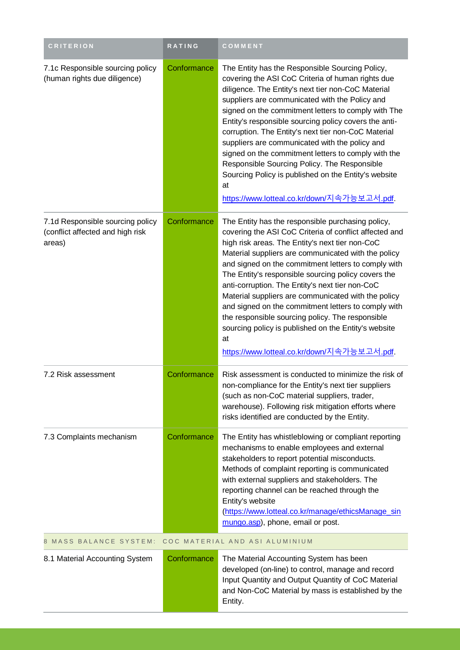| <b>CRITERION</b>                                                               | <b>RATING</b> | COMMENT                                                                                                                                                                                                                                                                                                                                                                                                                                                                                                                                                                                                                                                              |  |
|--------------------------------------------------------------------------------|---------------|----------------------------------------------------------------------------------------------------------------------------------------------------------------------------------------------------------------------------------------------------------------------------------------------------------------------------------------------------------------------------------------------------------------------------------------------------------------------------------------------------------------------------------------------------------------------------------------------------------------------------------------------------------------------|--|
| 7.1c Responsible sourcing policy<br>(human rights due diligence)               | Conformance   | The Entity has the Responsible Sourcing Policy,<br>covering the ASI CoC Criteria of human rights due<br>diligence. The Entity's next tier non-CoC Material<br>suppliers are communicated with the Policy and<br>signed on the commitment letters to comply with The<br>Entity's responsible sourcing policy covers the anti-<br>corruption. The Entity's next tier non-CoC Material<br>suppliers are communicated with the policy and<br>signed on the commitment letters to comply with the<br>Responsible Sourcing Policy. The Responsible<br>Sourcing Policy is published on the Entity's website<br>at<br>https://www.lotteal.co.kr/down/지속가능보고서.pdf.            |  |
| 7.1d Responsible sourcing policy<br>(conflict affected and high risk<br>areas) | Conformance   | The Entity has the responsible purchasing policy,<br>covering the ASI CoC Criteria of conflict affected and<br>high risk areas. The Entity's next tier non-CoC<br>Material suppliers are communicated with the policy<br>and signed on the commitment letters to comply with<br>The Entity's responsible sourcing policy covers the<br>anti-corruption. The Entity's next tier non-CoC<br>Material suppliers are communicated with the policy<br>and signed on the commitment letters to comply with<br>the responsible sourcing policy. The responsible<br>sourcing policy is published on the Entity's website<br>at<br>https://www.lotteal.co.kr/down/지속가능보고서.pdf |  |
| 7.2 Risk assessment                                                            | Conformance   | Risk assessment is conducted to minimize the risk of<br>non-compliance for the Entity's next tier suppliers<br>(such as non-CoC material suppliers, trader,<br>warehouse). Following risk mitigation efforts where<br>risks identified are conducted by the Entity.                                                                                                                                                                                                                                                                                                                                                                                                  |  |
| 7.3 Complaints mechanism                                                       | Conformance   | The Entity has whistleblowing or compliant reporting<br>mechanisms to enable employees and external<br>stakeholders to report potential misconducts.<br>Methods of complaint reporting is communicated<br>with external suppliers and stakeholders. The<br>reporting channel can be reached through the<br>Entity's website<br>(https://www.lotteal.co.kr/manage/ethicsManage_sin<br>mungo.asp), phone, email or post.                                                                                                                                                                                                                                               |  |
| <b>MASS BALANCE SYSTEM:</b><br>COC MATERIAL AND ASI ALUMINIUM<br>8             |               |                                                                                                                                                                                                                                                                                                                                                                                                                                                                                                                                                                                                                                                                      |  |
| 8.1 Material Accounting System                                                 | Conformance   | The Material Accounting System has been<br>developed (on-line) to control, manage and record<br>Input Quantity and Output Quantity of CoC Material<br>and Non-CoC Material by mass is established by the<br>Entity.                                                                                                                                                                                                                                                                                                                                                                                                                                                  |  |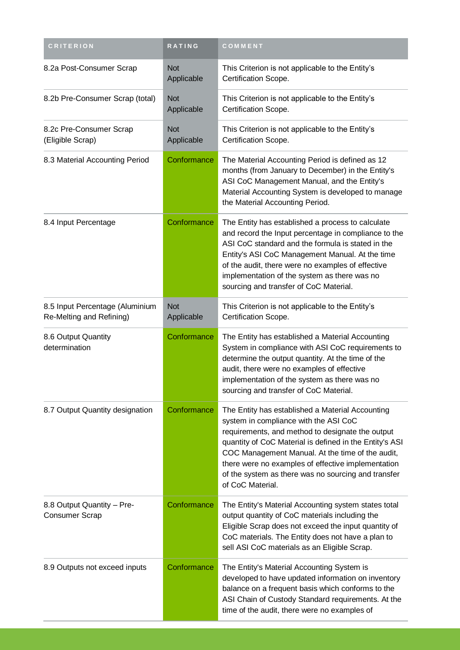| <b>CRITERION</b>                                            | RATING                   | COMMENT                                                                                                                                                                                                                                                                                                                                                                                       |
|-------------------------------------------------------------|--------------------------|-----------------------------------------------------------------------------------------------------------------------------------------------------------------------------------------------------------------------------------------------------------------------------------------------------------------------------------------------------------------------------------------------|
| 8.2a Post-Consumer Scrap                                    | <b>Not</b><br>Applicable | This Criterion is not applicable to the Entity's<br>Certification Scope.                                                                                                                                                                                                                                                                                                                      |
| 8.2b Pre-Consumer Scrap (total)                             | <b>Not</b><br>Applicable | This Criterion is not applicable to the Entity's<br>Certification Scope.                                                                                                                                                                                                                                                                                                                      |
| 8.2c Pre-Consumer Scrap<br>(Eligible Scrap)                 | <b>Not</b><br>Applicable | This Criterion is not applicable to the Entity's<br>Certification Scope.                                                                                                                                                                                                                                                                                                                      |
| 8.3 Material Accounting Period                              | Conformance              | The Material Accounting Period is defined as 12<br>months (from January to December) in the Entity's<br>ASI CoC Management Manual, and the Entity's<br>Material Accounting System is developed to manage<br>the Material Accounting Period.                                                                                                                                                   |
| 8.4 Input Percentage                                        | Conformance              | The Entity has established a process to calculate<br>and record the Input percentage in compliance to the<br>ASI CoC standard and the formula is stated in the<br>Entity's ASI CoC Management Manual. At the time<br>of the audit, there were no examples of effective<br>implementation of the system as there was no<br>sourcing and transfer of CoC Material.                              |
| 8.5 Input Percentage (Aluminium<br>Re-Melting and Refining) | <b>Not</b><br>Applicable | This Criterion is not applicable to the Entity's<br>Certification Scope.                                                                                                                                                                                                                                                                                                                      |
| 8.6 Output Quantity<br>determination                        | Conformance              | The Entity has established a Material Accounting<br>System in compliance with ASI CoC requirements to<br>determine the output quantity. At the time of the<br>audit, there were no examples of effective<br>implementation of the system as there was no<br>sourcing and transfer of CoC Material.                                                                                            |
| 8.7 Output Quantity designation                             | Conformance              | The Entity has established a Material Accounting<br>system in compliance with the ASI CoC<br>requirements, and method to designate the output<br>quantity of CoC Material is defined in the Entity's ASI<br>COC Management Manual. At the time of the audit,<br>there were no examples of effective implementation<br>of the system as there was no sourcing and transfer<br>of CoC Material. |
| 8.8 Output Quantity - Pre-<br><b>Consumer Scrap</b>         | Conformance              | The Entity's Material Accounting system states total<br>output quantity of CoC materials including the<br>Eligible Scrap does not exceed the input quantity of<br>CoC materials. The Entity does not have a plan to<br>sell ASI CoC materials as an Eligible Scrap.                                                                                                                           |
| 8.9 Outputs not exceed inputs                               | Conformance              | The Entity's Material Accounting System is<br>developed to have updated information on inventory<br>balance on a frequent basis which conforms to the<br>ASI Chain of Custody Standard requirements. At the<br>time of the audit, there were no examples of                                                                                                                                   |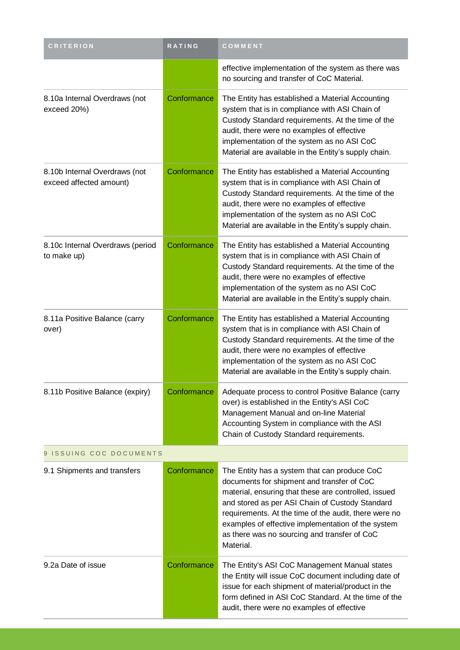| <b>CRITERION</b>                                         | RATING      | COMMENT                                                                                                                                                                                                                                                                                                                                                                           |  |
|----------------------------------------------------------|-------------|-----------------------------------------------------------------------------------------------------------------------------------------------------------------------------------------------------------------------------------------------------------------------------------------------------------------------------------------------------------------------------------|--|
|                                                          |             | effective implementation of the system as there was<br>no sourcing and transfer of CoC Material.                                                                                                                                                                                                                                                                                  |  |
| 8.10a Internal Overdraws (not<br>exceed 20%)             | Conformance | The Entity has established a Material Accounting<br>system that is in compliance with ASI Chain of<br>Custody Standard requirements. At the time of the<br>audit, there were no examples of effective<br>implementation of the system as no ASI CoC<br>Material are available in the Entity's supply chain.                                                                       |  |
| 8.10b Internal Overdraws (not<br>exceed affected amount) | Conformance | The Entity has established a Material Accounting<br>system that is in compliance with ASI Chain of<br>Custody Standard requirements. At the time of the<br>audit, there were no examples of effective<br>implementation of the system as no ASI CoC<br>Material are available in the Entity's supply chain.                                                                       |  |
| 8.10c Internal Overdraws (period<br>to make up)          | Conformance | The Entity has established a Material Accounting<br>system that is in compliance with ASI Chain of<br>Custody Standard requirements. At the time of the<br>audit, there were no examples of effective<br>implementation of the system as no ASI CoC<br>Material are available in the Entity's supply chain.                                                                       |  |
| 8.11a Positive Balance (carry<br>over)                   | Conformance | The Entity has established a Material Accounting<br>system that is in compliance with ASI Chain of<br>Custody Standard requirements. At the time of the<br>audit, there were no examples of effective<br>implementation of the system as no ASI CoC<br>Material are available in the Entity's supply chain.                                                                       |  |
| 8.11b Positive Balance (expiry)                          | Conformance | Adequate process to control Positive Balance (carry<br>over) is established in the Entity's ASI CoC<br>Management Manual and on-line Material<br>Accounting System in compliance with the ASI<br>Chain of Custody Standard requirements.                                                                                                                                          |  |
| 9 ISSUING COC DOCUMENTS                                  |             |                                                                                                                                                                                                                                                                                                                                                                                   |  |
| 9.1 Shipments and transfers                              | Conformance | The Entity has a system that can produce CoC<br>documents for shipment and transfer of CoC<br>material, ensuring that these are controlled, issued<br>and stored as per ASI Chain of Custody Standard<br>requirements. At the time of the audit, there were no<br>examples of effective implementation of the system<br>as there was no sourcing and transfer of CoC<br>Material. |  |
| 9.2a Date of issue                                       | Conformance | The Entity's ASI CoC Management Manual states<br>the Entity will issue CoC document including date of<br>issue for each shipment of material/product in the<br>form defined in ASI CoC Standard. At the time of the<br>audit, there were no examples of effective                                                                                                                 |  |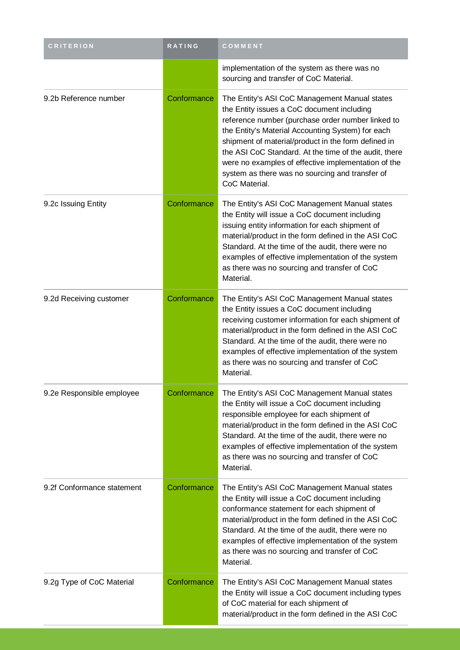| <b>CRITERION</b>           | <b>RATING</b> | COMMENT                                                                                                                                                                                                                                                                                                                                                                                                                                          |
|----------------------------|---------------|--------------------------------------------------------------------------------------------------------------------------------------------------------------------------------------------------------------------------------------------------------------------------------------------------------------------------------------------------------------------------------------------------------------------------------------------------|
|                            |               | implementation of the system as there was no<br>sourcing and transfer of CoC Material.                                                                                                                                                                                                                                                                                                                                                           |
| 9.2b Reference number      | Conformance   | The Entity's ASI CoC Management Manual states<br>the Entity issues a CoC document including<br>reference number (purchase order number linked to<br>the Entity's Material Accounting System) for each<br>shipment of material/product in the form defined in<br>the ASI CoC Standard. At the time of the audit, there<br>were no examples of effective implementation of the<br>system as there was no sourcing and transfer of<br>CoC Material. |
| 9.2c Issuing Entity        | Conformance   | The Entity's ASI CoC Management Manual states<br>the Entity will issue a CoC document including<br>issuing entity information for each shipment of<br>material/product in the form defined in the ASI CoC<br>Standard. At the time of the audit, there were no<br>examples of effective implementation of the system<br>as there was no sourcing and transfer of CoC<br>Material.                                                                |
| 9.2d Receiving customer    | Conformance   | The Entity's ASI CoC Management Manual states<br>the Entity issues a CoC document including<br>receiving customer information for each shipment of<br>material/product in the form defined in the ASI CoC<br>Standard. At the time of the audit, there were no<br>examples of effective implementation of the system<br>as there was no sourcing and transfer of CoC<br>Material.                                                                |
| 9.2e Responsible employee  | Conformance   | The Entity's ASI CoC Management Manual states<br>the Entity will issue a CoC document including<br>responsible employee for each shipment of<br>material/product in the form defined in the ASI CoC<br>Standard. At the time of the audit, there were no<br>examples of effective implementation of the system<br>as there was no sourcing and transfer of CoC<br>Material.                                                                      |
| 9.2f Conformance statement | Conformance   | The Entity's ASI CoC Management Manual states<br>the Entity will issue a CoC document including<br>conformance statement for each shipment of<br>material/product in the form defined in the ASI CoC<br>Standard. At the time of the audit, there were no<br>examples of effective implementation of the system<br>as there was no sourcing and transfer of CoC<br>Material.                                                                     |
| 9.2g Type of CoC Material  | Conformance   | The Entity's ASI CoC Management Manual states<br>the Entity will issue a CoC document including types<br>of CoC material for each shipment of<br>material/product in the form defined in the ASI CoC                                                                                                                                                                                                                                             |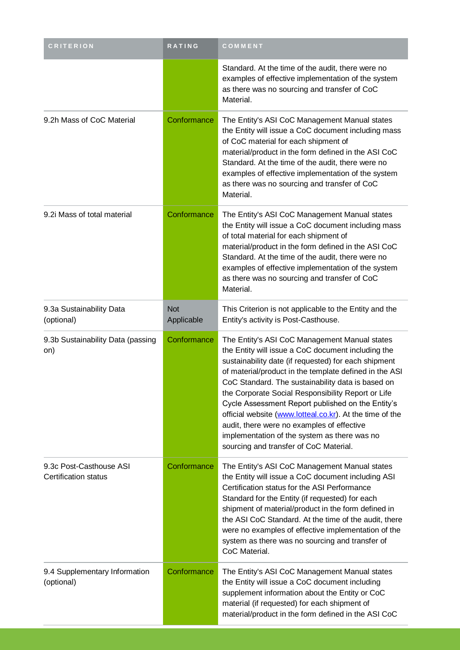| <b>CRITERION</b>                                       | <b>RATING</b>            | COMMENT                                                                                                                                                                                                                                                                                                                                                                                                                                                                                                                                                                                   |
|--------------------------------------------------------|--------------------------|-------------------------------------------------------------------------------------------------------------------------------------------------------------------------------------------------------------------------------------------------------------------------------------------------------------------------------------------------------------------------------------------------------------------------------------------------------------------------------------------------------------------------------------------------------------------------------------------|
|                                                        |                          | Standard. At the time of the audit, there were no<br>examples of effective implementation of the system<br>as there was no sourcing and transfer of CoC<br>Material.                                                                                                                                                                                                                                                                                                                                                                                                                      |
| 9.2h Mass of CoC Material                              | Conformance              | The Entity's ASI CoC Management Manual states<br>the Entity will issue a CoC document including mass<br>of CoC material for each shipment of<br>material/product in the form defined in the ASI CoC<br>Standard. At the time of the audit, there were no<br>examples of effective implementation of the system<br>as there was no sourcing and transfer of CoC<br>Material.                                                                                                                                                                                                               |
| 9.2i Mass of total material                            | Conformance              | The Entity's ASI CoC Management Manual states<br>the Entity will issue a CoC document including mass<br>of total material for each shipment of<br>material/product in the form defined in the ASI CoC<br>Standard. At the time of the audit, there were no<br>examples of effective implementation of the system<br>as there was no sourcing and transfer of CoC<br>Material.                                                                                                                                                                                                             |
| 9.3a Sustainability Data<br>(optional)                 | <b>Not</b><br>Applicable | This Criterion is not applicable to the Entity and the<br>Entity's activity is Post-Casthouse.                                                                                                                                                                                                                                                                                                                                                                                                                                                                                            |
| 9.3b Sustainability Data (passing<br>on)               | Conformance              | The Entity's ASI CoC Management Manual states<br>the Entity will issue a CoC document including the<br>sustainability date (if requested) for each shipment<br>of material/product in the template defined in the ASI<br>CoC Standard. The sustainability data is based on<br>the Corporate Social Responsibility Report or Life<br>Cycle Assessment Report published on the Entity's<br>official website (www.lotteal.co.kr). At the time of the<br>audit, there were no examples of effective<br>implementation of the system as there was no<br>sourcing and transfer of CoC Material. |
| 9.3c Post-Casthouse ASI<br><b>Certification status</b> | Conformance              | The Entity's ASI CoC Management Manual states<br>the Entity will issue a CoC document including ASI<br>Certification status for the ASI Performance<br>Standard for the Entity (if requested) for each<br>shipment of material/product in the form defined in<br>the ASI CoC Standard. At the time of the audit, there<br>were no examples of effective implementation of the<br>system as there was no sourcing and transfer of<br>CoC Material.                                                                                                                                         |
| 9.4 Supplementary Information<br>(optional)            | Conformance              | The Entity's ASI CoC Management Manual states<br>the Entity will issue a CoC document including<br>supplement information about the Entity or CoC<br>material (if requested) for each shipment of<br>material/product in the form defined in the ASI CoC                                                                                                                                                                                                                                                                                                                                  |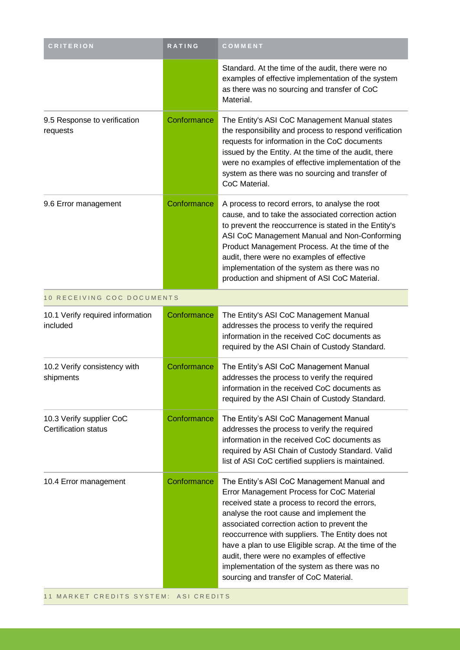| <b>CRITERION</b>                                        | RATING      | COMMENT                                                                                                                                                                                                                                                                                                                                                                                                                                                                                   |
|---------------------------------------------------------|-------------|-------------------------------------------------------------------------------------------------------------------------------------------------------------------------------------------------------------------------------------------------------------------------------------------------------------------------------------------------------------------------------------------------------------------------------------------------------------------------------------------|
|                                                         |             | Standard. At the time of the audit, there were no<br>examples of effective implementation of the system<br>as there was no sourcing and transfer of CoC<br>Material.                                                                                                                                                                                                                                                                                                                      |
| 9.5 Response to verification<br>requests                | Conformance | The Entity's ASI CoC Management Manual states<br>the responsibility and process to respond verification<br>requests for information in the CoC documents<br>issued by the Entity. At the time of the audit, there<br>were no examples of effective implementation of the<br>system as there was no sourcing and transfer of<br>CoC Material.                                                                                                                                              |
| 9.6 Error management                                    | Conformance | A process to record errors, to analyse the root<br>cause, and to take the associated correction action<br>to prevent the reoccurrence is stated in the Entity's<br>ASI CoC Management Manual and Non-Conforming<br>Product Management Process. At the time of the<br>audit, there were no examples of effective<br>implementation of the system as there was no<br>production and shipment of ASI CoC Material.                                                                           |
| 10 RECEIVING COC DOCUMENTS                              |             |                                                                                                                                                                                                                                                                                                                                                                                                                                                                                           |
| 10.1 Verify required information<br>included            | Conformance | The Entity's ASI CoC Management Manual<br>addresses the process to verify the required<br>information in the received CoC documents as<br>required by the ASI Chain of Custody Standard.                                                                                                                                                                                                                                                                                                  |
| 10.2 Verify consistency with<br>shipments               | Conformance | The Entity's ASI CoC Management Manual<br>addresses the process to verify the required<br>information in the received CoC documents as<br>required by the ASI Chain of Custody Standard.                                                                                                                                                                                                                                                                                                  |
| 10.3 Verify supplier CoC<br><b>Certification status</b> | Conformance | The Entity's ASI CoC Management Manual<br>addresses the process to verify the required<br>information in the received CoC documents as<br>required by ASI Chain of Custody Standard. Valid<br>list of ASI CoC certified suppliers is maintained.                                                                                                                                                                                                                                          |
| 10.4 Error management                                   | Conformance | The Entity's ASI CoC Management Manual and<br>Error Management Process for CoC Material<br>received state a process to record the errors,<br>analyse the root cause and implement the<br>associated correction action to prevent the<br>reoccurrence with suppliers. The Entity does not<br>have a plan to use Eligible scrap. At the time of the<br>audit, there were no examples of effective<br>implementation of the system as there was no<br>sourcing and transfer of CoC Material. |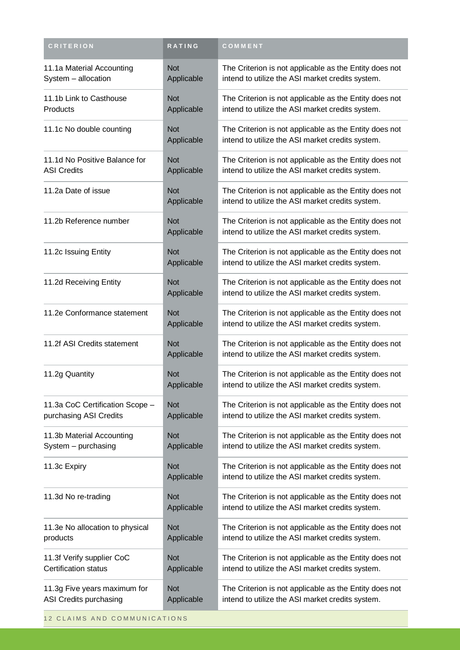| <b>CRITERION</b>                                          | RATING                   | COMMENT                                                                                                    |
|-----------------------------------------------------------|--------------------------|------------------------------------------------------------------------------------------------------------|
| 11.1a Material Accounting<br>System - allocation          | <b>Not</b><br>Applicable | The Criterion is not applicable as the Entity does not<br>intend to utilize the ASI market credits system. |
| 11.1b Link to Casthouse<br>Products                       | <b>Not</b><br>Applicable | The Criterion is not applicable as the Entity does not<br>intend to utilize the ASI market credits system. |
| 11.1c No double counting                                  | <b>Not</b><br>Applicable | The Criterion is not applicable as the Entity does not<br>intend to utilize the ASI market credits system. |
| 11.1d No Positive Balance for<br><b>ASI Credits</b>       | <b>Not</b><br>Applicable | The Criterion is not applicable as the Entity does not<br>intend to utilize the ASI market credits system. |
| 11.2a Date of issue                                       | <b>Not</b><br>Applicable | The Criterion is not applicable as the Entity does not<br>intend to utilize the ASI market credits system. |
| 11.2b Reference number                                    | <b>Not</b><br>Applicable | The Criterion is not applicable as the Entity does not<br>intend to utilize the ASI market credits system. |
| 11.2c Issuing Entity                                      | <b>Not</b><br>Applicable | The Criterion is not applicable as the Entity does not<br>intend to utilize the ASI market credits system. |
| 11.2d Receiving Entity                                    | <b>Not</b><br>Applicable | The Criterion is not applicable as the Entity does not<br>intend to utilize the ASI market credits system. |
| 11.2e Conformance statement                               | <b>Not</b><br>Applicable | The Criterion is not applicable as the Entity does not<br>intend to utilize the ASI market credits system. |
| 11.2f ASI Credits statement                               | <b>Not</b><br>Applicable | The Criterion is not applicable as the Entity does not<br>intend to utilize the ASI market credits system. |
| 11.2g Quantity                                            | <b>Not</b><br>Applicable | The Criterion is not applicable as the Entity does not<br>intend to utilize the ASI market credits system. |
| 11.3a CoC Certification Scope -<br>purchasing ASI Credits | <b>Not</b><br>Applicable | The Criterion is not applicable as the Entity does not<br>intend to utilize the ASI market credits system. |
| 11.3b Material Accounting<br>System - purchasing          | <b>Not</b><br>Applicable | The Criterion is not applicable as the Entity does not<br>intend to utilize the ASI market credits system. |
| 11.3c Expiry                                              | <b>Not</b><br>Applicable | The Criterion is not applicable as the Entity does not<br>intend to utilize the ASI market credits system. |
| 11.3d No re-trading                                       | <b>Not</b><br>Applicable | The Criterion is not applicable as the Entity does not<br>intend to utilize the ASI market credits system. |
| 11.3e No allocation to physical<br>products               | <b>Not</b><br>Applicable | The Criterion is not applicable as the Entity does not<br>intend to utilize the ASI market credits system. |
| 11.3f Verify supplier CoC<br><b>Certification status</b>  | <b>Not</b><br>Applicable | The Criterion is not applicable as the Entity does not<br>intend to utilize the ASI market credits system. |
| 11.3g Five years maximum for<br>ASI Credits purchasing    | <b>Not</b><br>Applicable | The Criterion is not applicable as the Entity does not<br>intend to utilize the ASI market credits system. |